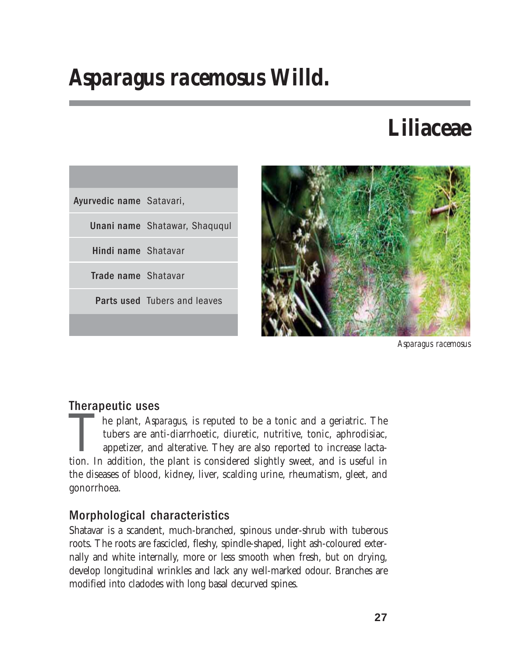# *Asparagus racemosus* **Willd.**

# **Liliaceae**





*Asparagus racemosus*

# Therapeutic uses

The plant, *Asparagus*, is reputed to be a tonic and a geriatric. The tubers are anti-diarrhoetic, diuretic, nutritive, tonic, aphrodisiac, appetizer, and alterative. They are also reported to increase lactation. In additi tubers are anti-diarrhoetic, diuretic, nutritive, tonic, aphrodisiac, appetizer, and alterative. They are also reported to increase lactathe diseases of blood, kidney, liver, scalding urine, rheumatism, gleet, and gonorrhoea.

# Morphological characteristics

Shatavar is a scandent, much-branched, spinous under-shrub with tuberous roots. The roots are fascicled, fleshy, spindle-shaped, light ash-coloured externally and white internally, more or less smooth when fresh, but on drying, develop longitudinal wrinkles and lack any well-marked odour. Branches are modified into cladodes with long basal decurved spines.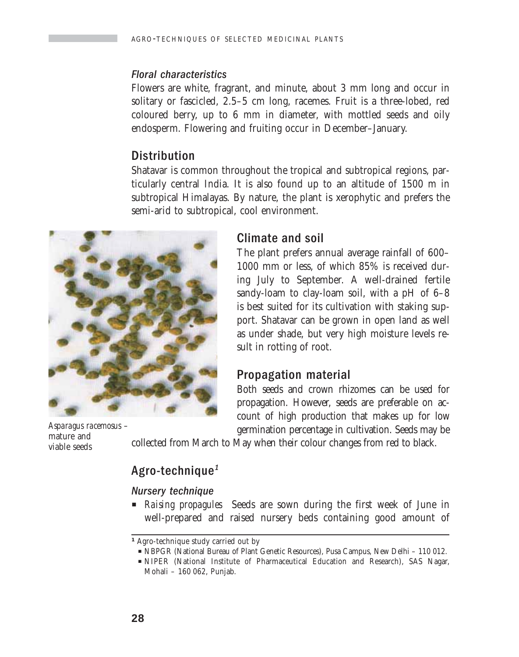#### Floral characteristics

Flowers are white, fragrant, and minute, about 3 mm long and occur in solitary or fascicled, 2.5–5 cm long, racemes. Fruit is a three-lobed, red coloured berry, up to 6 mm in diameter, with mottled seeds and oily endosperm. Flowering and fruiting occur in December–January.

## **Distribution**

Shatavar is common throughout the tropical and subtropical regions, particularly central India. It is also found up to an altitude of 1500 m in subtropical Himalayas. By nature, the plant is xerophytic and prefers the semi-arid to subtropical, cool environment.



*Asparagus racemosus* – mature and viable seeds

### Climate and soil

The plant prefers annual average rainfall of 600– 1000 mm or less, of which 85% is received during July to September. A well-drained fertile sandy-loam to clay-loam soil, with a pH of 6–8 is best suited for its cultivation with staking support. Shatavar can be grown in open land as well as under shade, but very high moisture levels result in rotting of root.

### Propagation material

Both seeds and crown rhizomes can be used for propagation. However, seeds are preferable on account of high production that makes up for low germination percentage in cultivation. Seeds may be

collected from March to May when their colour changes from red to black.

## Agro-technique<sup>1</sup>

#### Nursery technique

**P** *Raising propagules* Seeds are sown during the first week of June in well-prepared and raised nursery beds containing good amount of

*<sup>1</sup>* Agro-technique study carried out by

P NBPGR (National Bureau of Plant Genetic Resources), Pusa Campus, New Delhi – 110 012.

P NIPER (National Institute of Pharmaceutical Education and Research), SAS Nagar, Mohali – 160 062, Punjab.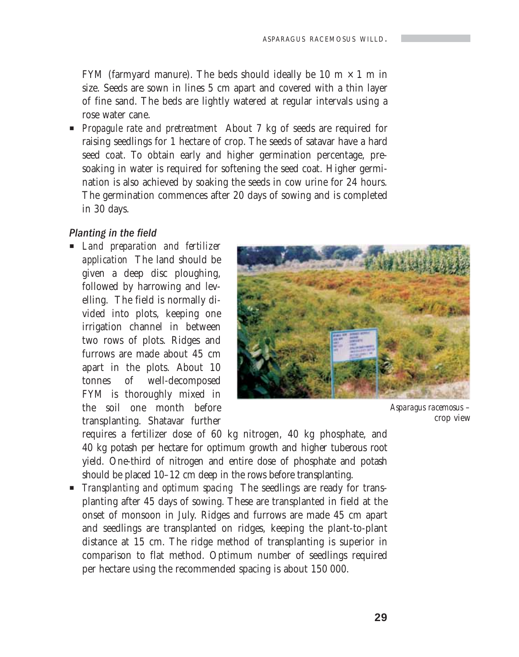FYM (farmyard manure). The beds should ideally be 10 m  $\times$  1 m in size. Seeds are sown in lines 5 cm apart and covered with a thin layer of fine sand. The beds are lightly watered at regular intervals using a rose water cane.

**Propagule rate and pretreatment** About 7 kg of seeds are required for raising seedlings for 1 hectare of crop. The seeds of satavar have a hard seed coat. To obtain early and higher germination percentage, presoaking in water is required for softening the seed coat. Higher germination is also achieved by soaking the seeds in cow urine for 24 hours. The germination commences after 20 days of sowing and is completed in 30 days.

#### Planting in the field

P *Land preparation and fertilizer application* The land should be given a deep disc ploughing, followed by harrowing and levelling. The field is normally divided into plots, keeping one irrigation channel in between two rows of plots. Ridges and furrows are made about 45 cm apart in the plots. About 10 tonnes of well-decomposed FYM is thoroughly mixed in the soil one month before transplanting. Shatavar further



*Asparagus racemosus* – crop view

requires a fertilizer dose of 60 kg nitrogen, 40 kg phosphate, and 40 kg potash per hectare for optimum growth and higher tuberous root yield. One-third of nitrogen and entire dose of phosphate and potash should be placed 10–12 cm deep in the rows before transplanting.

**F** *Transplanting and optimum spacing* The seedlings are ready for transplanting after 45 days of sowing. These are transplanted in field at the onset of monsoon in July. Ridges and furrows are made 45 cm apart and seedlings are transplanted on ridges, keeping the plant-to-plant distance at 15 cm. The ridge method of transplanting is superior in comparison to flat method. Optimum number of seedlings required per hectare using the recommended spacing is about 150 000.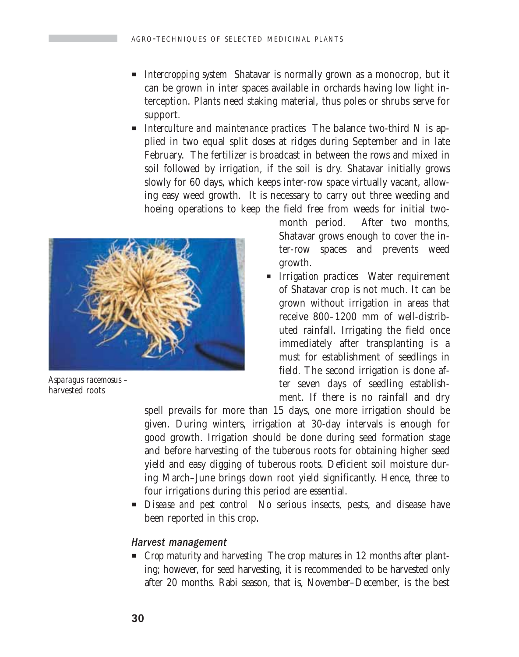- **P** *Intercropping system* Shatavar is normally grown as a monocrop, but it can be grown in inter spaces available in orchards having low light interception. Plants need staking material, thus poles or shrubs serve for support.
- *Interculture and maintenance practices* The balance two-third N is applied in two equal split doses at ridges during September and in late February. The fertilizer is broadcast in between the rows and mixed in soil followed by irrigation, if the soil is dry. Shatavar initially grows slowly for 60 days, which keeps inter-row space virtually vacant, allowing easy weed growth. It is necessary to carry out three weeding and hoeing operations to keep the field free from weeds for initial two-



*Asparagus racemosus –* harvested roots

month period. After two months, Shatavar grows enough to cover the inter-row spaces and prevents weed growth.

**P** *Irrigation practices* Water requirement of Shatavar crop is not much. It can be grown without irrigation in areas that receive 800–1200 mm of well-distributed rainfall. Irrigating the field once immediately after transplanting is a must for establishment of seedlings in field. The second irrigation is done after seven days of seedling establishment. If there is no rainfall and dry

spell prevails for more than 15 days, one more irrigation should be given. During winters, irrigation at 30-day intervals is enough for good growth. Irrigation should be done during seed formation stage and before harvesting of the tuberous roots for obtaining higher seed yield and easy digging of tuberous roots. Deficient soil moisture during March–June brings down root yield significantly. Hence, three to four irrigations during this period are essential.

**P** *Disease and pest control* No serious insects, pests, and disease have been reported in this crop.

#### Harvest management

**P** *Crop maturity and harvesting* The crop matures in 12 months after planting; however, for seed harvesting, it is recommended to be harvested only after 20 months. Rabi season, that is, November–December, is the best